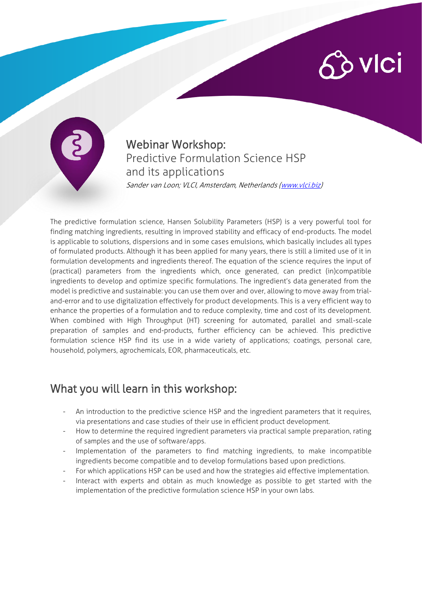## $\hat{\mathcal{C}}$  vici



Webinar Workshop: Predictive Formulation Science HSP and its applications Sander van Loon; VLCI, Amsterdam, Netherlands [\(www.vlci.biz\)](http://www.vlci.biz/)

The predictive formulation science, Hansen Solubility Parameters (HSP) is a very powerful tool for finding matching ingredients, resulting in improved stability and efficacy of end-products. The model is applicable to solutions, dispersions and in some cases emulsions, which basically includes all types of formulated products. Although it has been applied for many years, there is still a limited use of it in formulation developments and ingredients thereof. The equation of the science requires the input of (practical) parameters from the ingredients which, once generated, can predict (in)compatible ingredients to develop and optimize specific formulations. The ingredient's data generated from the model is predictive and sustainable: you can use them over and over, allowing to move away from trialand-error and to use digitalization effectively for product developments. This is a very efficient way to enhance the properties of a formulation and to reduce complexity, time and cost of its development. When combined with High Throughput (HT) screening for automated, parallel and small-scale preparation of samples and end-products, further efficiency can be achieved. This predictive formulation science HSP find its use in a wide variety of applications; coatings, personal care, household, polymers, agrochemicals, EOR, pharmaceuticals, etc.

## What you will learn in this workshop:

- An introduction to the predictive science HSP and the ingredient parameters that it requires, via presentations and case studies of their use in efficient product development.
- How to determine the required ingredient parameters via practical sample preparation, rating of samples and the use of software/apps.
- Implementation of the parameters to find matching ingredients, to make incompatible ingredients become compatible and to develop formulations based upon predictions.
- For which applications HSP can be used and how the strategies aid effective implementation.
- Interact with experts and obtain as much knowledge as possible to get started with the implementation of the predictive formulation science HSP in your own labs.